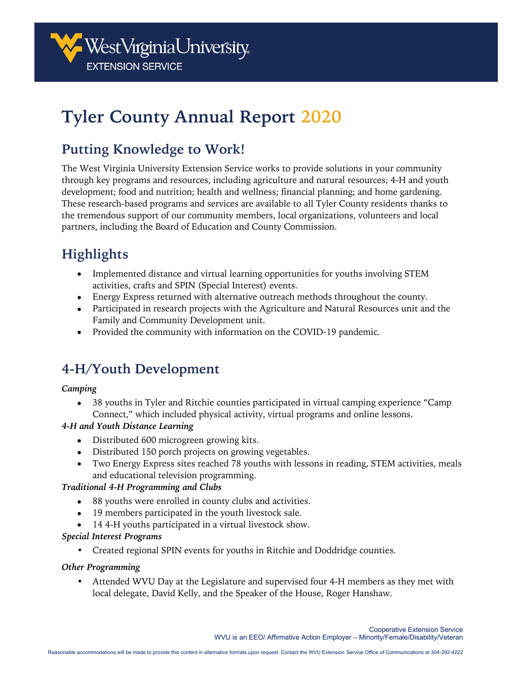

# **Tyler County Annual Report 2020**

## **Putting Knowledge to Work!**

The West Virginia University Extension Service works to provide solutions in your community through key programs and resources, including agriculture and natural resources; 4-H and youth development; food and nutrition; health and wellness; financial planning; and home gardening. These research-based programs and services are available to all Tyler County residents thanks to the tremendous support of our community members, local organizations, volunteers and local partners, including the Board of Education and County Commission.

## **Highlights**

- Implemented distance and virtual learning opportunities for youths involving STEM activities, crafts and SPIN (Special Interest) events.
- Energy Express returned with alternative outreach methods throughout the county.
- Participated in research projects with the Agriculture and Natural Resources unit and the Family and Community Development unit.
- Provided the community with information on the COVID-19 pandemic.

## **4-H/Youth Development**

#### *Camping*

• 38 youths in Tyler and Ritchie counties participated in virtual camping experience "Camp Connect," which included physical activity, virtual programs and online lessons.

#### *4-H and Youth Distance Learning*

- Distributed 600 microgreen growing kits.
- Distributed 150 porch projects on growing vegetables.
- Two Energy Express sites reached 78 youths with lessons in reading, STEM activities, meals and educational television programming.

#### *Traditional 4-H Programming and Clubs*

- 88 youths were enrolled in county clubs and activities.
- 19 members participated in the youth livestock sale.
- 14 4-H youths participated in a virtual livestock show.

#### *Special Interest Programs*

• Created regional SPIN events for youths in Ritchie and Doddridge counties.

#### *Other Programming*

• Attended WVU Day at the Legislature and supervised four 4-H members as they met with local delegate, David Kelly, and the Speaker of the House, Roger Hanshaw.